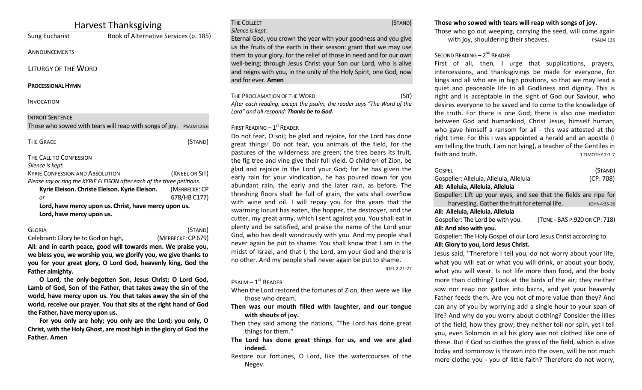| <b>Harvest Thanksgiving</b>                                                                       |                                                                         |  |
|---------------------------------------------------------------------------------------------------|-------------------------------------------------------------------------|--|
| <b>Sung Eucharist</b>                                                                             | Book of Alternative Services (p. 185)                                   |  |
| ANNOUNCEMENTS                                                                                     |                                                                         |  |
| LITURGY OF THE WORD                                                                               |                                                                         |  |
| <b>PROCESSIONAL HYMN</b>                                                                          |                                                                         |  |
| <b>INVOCATION</b>                                                                                 |                                                                         |  |
| <b>INTROIT SENTENCE</b><br>Those who sowed with tears will reap with songs of joy.<br>PSALM 126:6 |                                                                         |  |
| <b>THE GRACE</b>                                                                                  | (STAND)                                                                 |  |
| THE CALL TO CONFESSION<br>Silence is kept.                                                        |                                                                         |  |
| <b>KYRIE CONFESSION AND ABSOLUTION</b>                                                            | (KNEEL OR SIT)                                                          |  |
|                                                                                                   | Please say or sing the KYRIE ELEISON after each of the three petitions. |  |
| Kyrie Eleison. Christe Eleison. Kyrie Eleison.                                                    | (MERBECKE: CP                                                           |  |
| or                                                                                                | 678/HB C177)                                                            |  |
| Lord, have mercy upon us. Christ, have mercy upon us.                                             |                                                                         |  |
| Lord, have mercy upon us.                                                                         |                                                                         |  |

### GLORIA (STAND)

Celebrant: Glory be to God on high, (MERBECKE: CP 679)

**All: and in earth peace, good will towards men. We praise you, we bless you, we worship you, we glorify you, we give thanks to you for your great glory, O Lord God, heavenly king, God the Father almighty.**

**O Lord, the only-begotten Son, Jesus Christ; O Lord God, Lamb of God, Son of the Father, that takes away the sin of the world, have mercy upon us. You that takes away the sin of the world, receive our prayer. You that sits at the right hand of God the Father, have mercy upon us.**

**For you only are holy; you only are the Lord; you only, O Christ, with the Holy Ghost, are most high in the glory of God the Father. Amen**

| THE COLLECT      | (STAND)                                                         |
|------------------|-----------------------------------------------------------------|
| Silence is kept. |                                                                 |
|                  | Eternal God, you crown the year with your goodness and you give |

us the fruits of the earth in their season: grant that we may use them to your glory, for the relief of those in need and for our own well-being; through Jesus Christ your Son our Lord, who is alive and reigns with you, in the unity of the Holy Spirit, one God, now and for ever. **Amen**

THE PROCLAMATION OF THE WORD (SIT) *After each reading, except the psalm, the reader says "The Word of the Lord" and all respond: Thanks be to God.* 

# FIRST READING  $-1^\text{ST}$  READER

Do not fear, O soil; be glad and rejoice, for the Lord has done great things! Do not fear, you animals of the field, for the pastures of the wilderness are green; the tree bears its fruit, the fig tree and vine give their full yield. O children of Zion, be glad and rejoice in the Lord your God; for he has given the early rain for your vindication, he has poured down for you abundant rain, the early and the later rain, as before. The threshing floors shall be full of grain, the vats shall overflow with wine and oil. I will repay you for the years that the swarming locust has eaten, the hopper, the destroyer, and the cutter, my great army, which I sent against you. You shall eat in plenty and be satisfied, and praise the name of the Lord your God, who has dealt wondrously with you. And my people shall never again be put to shame. You shall know that I am in the midst of Israel, and that I, the Lord, am your God and there is no other. And my people shall never again be put to shame.

JOEL 2:21-27

# $P$ SALM  $-1$ <sup>ST</sup> READER

When the Lord restored the fortunes of Zion, then were we like those who dream.

- **Then was our mouth filled with laughter, and our tongue with shouts of joy.**
- Then they said among the nations, "The Lord has done great things for them."
- **The Lord has done great things for us, and we are glad indeed.**
- Restore our fortunes, O Lord, like the watercourses of the Negev.

# **Those who sowed with tears will reap with songs of joy.**

Those who go out weeping, carrying the seed, will come again with joy, shouldering their sheaves. PSALM 126

## SECOND READING  $-2^{ND}$  READER

First of all, then, I urge that supplications, prayers, intercessions, and thanksgivings be made for everyone, for kings and all who are in high positions, so that we may lead a quiet and peaceable life in all Godliness and dignity. This is right and is acceptable in the sight of God our Saviour, who desires everyone to be saved and to come to the knowledge of the truth. For there is one God; there is also one mediator between God and humankind, Christ Jesus, himself human, who gave himself a ransom for all - this was attested at the right time. For this I was appointed a herald and an apostle (I am telling the truth, I am not lying), a teacher of the Gentiles in faith and truth. The state of the state of the state of the state of the state of the state of the state of the state of the state of the state of the state of the state of the state of the state of the state of the state

| <b>GOSPEL</b>                                                       |                               | (STAND)      |  |  |
|---------------------------------------------------------------------|-------------------------------|--------------|--|--|
| Gospeller: Alleluia, Alleluia, Alleluia                             |                               | (CP: 708)    |  |  |
| All: Alleluia, Alleluia, Alleluia                                   |                               |              |  |  |
| Gospeller: Lift up your eyes, and see that the fields are ripe for  |                               |              |  |  |
| harvesting. Gather the fruit for eternal life.                      |                               | JOHN 4:35-36 |  |  |
| All: Alleluia, Alleluia, Alleluia                                   |                               |              |  |  |
| Gospeller: The Lord be with you.                                    | (TONE - BAS P.920 OR CP: 718) |              |  |  |
| All: And also with you.                                             |                               |              |  |  |
| Gospeller: The Holy Gospel of our Lord Jesus Christ according to    |                               |              |  |  |
| All: Glory to you, Lord Jesus Christ.                               |                               |              |  |  |
| Jesus said, "Therefore I tell you, do not worry about your life,    |                               |              |  |  |
| what you will eat or what you will drink, or about your body,       |                               |              |  |  |
| what you will wear. Is not life more than food, and the body        |                               |              |  |  |
| more than clothing? Look at the birds of the air; they neither      |                               |              |  |  |
| sow nor reap nor gather into barns, and yet your heavenly           |                               |              |  |  |
| Father feeds them. Are you not of more value than they? And         |                               |              |  |  |
| can any of you by worrying add a single hour to your span of        |                               |              |  |  |
| life? And why do you worry about clothing? Consider the lilies      |                               |              |  |  |
| of the field, how they grow; they neither toil nor spin, yet I tell |                               |              |  |  |
| you, even Solomon in all his glory was not clothed like one of      |                               |              |  |  |
| these. But if God so clothes the grass of the field, which is alive |                               |              |  |  |

today and tomorrow is thrown into the oven, will he not much more clothe you - you of little faith? Therefore do not worry,